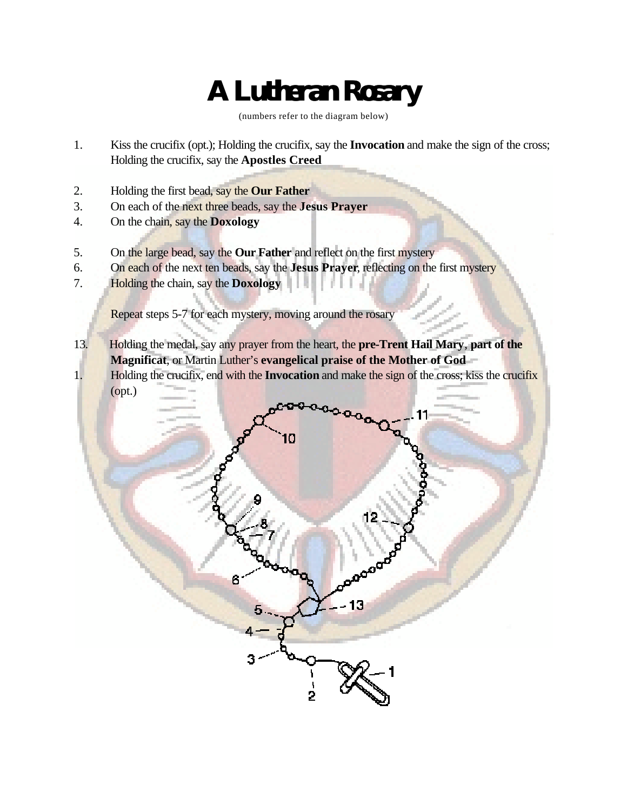# **A Lutheran Rosary**

(numbers refer to the diagram below)

- 1. Kiss the crucifix (opt.); Holding the crucifix, say the **Invocation** and make the sign of the cross; Holding the crucifix, say the **Apostles Creed**
- 2. Holding the first bead, say the **Our Father**
- 3. On each of the next three beads, say the **Jesus Prayer**
- 4. On the chain, say the **Doxology**
- 5. On the large bead, say the **Our Father** and reflect on the first mystery
- 6. On each of the next ten beads, say the **Jesus Prayer**, reflecting on the first mystery
- 7. Holding the chain, say the **Doxology**

Repeat steps 5-7 for each mystery, moving around the rosary

13. Holding the medal, say any prayer from the heart, the **pre-Trent Hail Mary**, **part of the Magnificat**, or Martin Luther's **evangelical praise of the Mother of God** 1. Holding the crucifix, end with the **Invocation** and make the sign of the cross; kiss the crucifix (opt.)

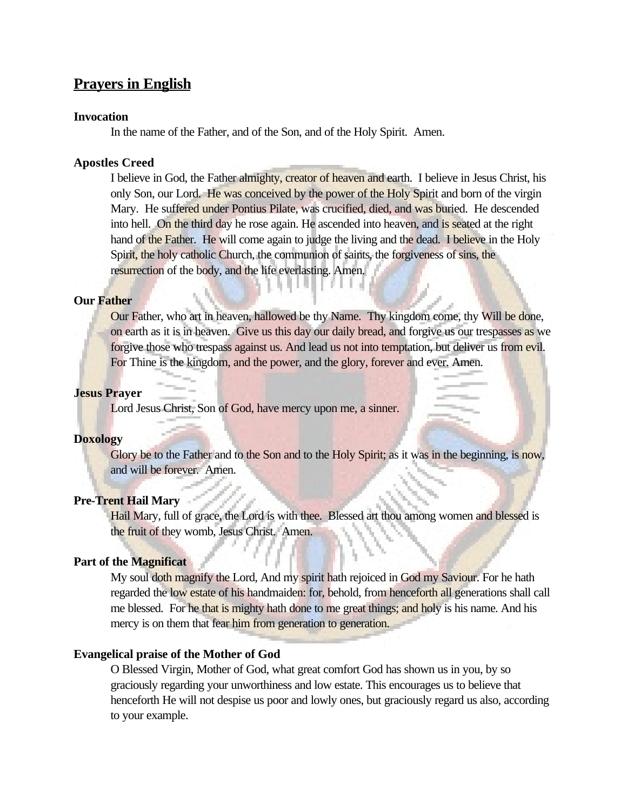## **Prayers in English**

#### **Invocation**

In the name of the Father, and of the Son, and of the Holy Spirit. Amen.

## **Apostles Creed**

I believe in God, the Father almighty, creator of heaven and earth. I believe in Jesus Christ, his only Son, our Lord. He was conceived by the power of the Holy Spirit and born of the virgin Mary. He suffered under Pontius Pilate, was crucified, died, and was buried. He descended into hell. On the third day he rose again. He ascended into heaven, and is seated at the right hand of the Father. He will come again to judge the living and the dead. I believe in the Holy Spirit, the holy catholic Church, the communion of saints, the forgiveness of sins, the resurrection of the body, and the life everlasting. Amen.

#### **Our Father**

Our Father, who art in heaven, hallowed be thy Name. Thy kingdom come, thy Will be done, on earth as it is in heaven. Give us this day our daily bread, and forgive us our trespasses as we forgive those who trespass against us. And lead us not into temptation, but deliver us from evil. For Thine is the kingdom, and the power, and the glory, forever and ever. Amen.

## **Jesus Prayer**

Lord Jesus Christ, Son of God, have mercy upon me, a sinner.

## **Doxology**

Glory be to the Father and to the Son and to the Holy Spirit; as it was in the beginning, is now, and will be forever. Amen.

## **Pre-Trent Hail Mary**

Hail Mary, full of grace, the Lord is with thee. Blessed art thou among women and blessed is the fruit of they womb, Jesus Christ. Amen.

## **Part of the Magnificat**

My soul doth magnify the Lord, And my spirit hath rejoiced in God my Saviour. For he hath regarded the low estate of his handmaiden: for, behold, from henceforth all generations shall call me blessed. For he that is mighty hath done to me great things; and holy is his name. And his mercy is on them that fear him from generation to generation.

## **Evangelical praise of the Mother of God**

O Blessed Virgin, Mother of God, what great comfort God has shown us in you, by so graciously regarding your unworthiness and low estate. This encourages us to believe that henceforth He will not despise us poor and lowly ones, but graciously regard us also, according to your example.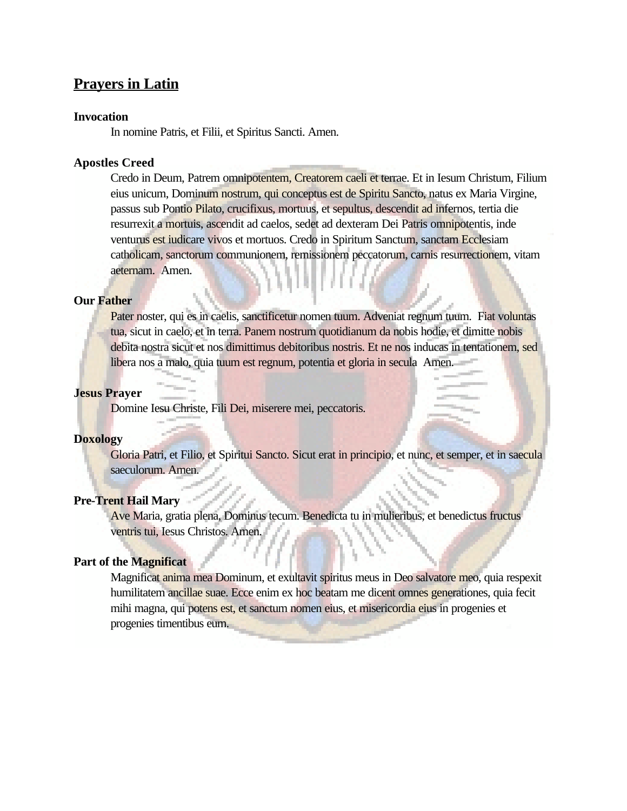## **Prayers in Latin**

## **Invocation**

In nomine Patris, et Filii, et Spiritus Sancti. Amen.

## **Apostles Creed**

Credo in Deum, Patrem omnipotentem, Creatorem caeli et terrae. Et in Iesum Christum, Filium eius unicum, Dominum nostrum, qui conceptus est de Spiritu Sancto, natus ex Maria Virgine, passus sub Pontio Pilato, crucifixus, mortuus, et sepultus, descendit ad infernos, tertia die resurrexit a mortuis, ascendit ad caelos, sedet ad dexteram Dei Patris omnipotentis, inde venturus est iudicare vivos et mortuos. Credo in Spiritum Sanctum, sanctam Ecclesiam catholicam, sanctorum communionem, remissionem peccatorum, carnis resurrectionem, vitam aeternam. Amen.

## **Our Father**

Pater noster, qui es in caelis, sanctificetur nomen tuum. Adveniat regnum tuum. Fiat voluntas tua, sicut in caelo, et in terra. Panem nostrum quotidianum da nobis hodie, et dimitte nobis debita nostra sicut et nos dimittimus debitoribus nostris. Et ne nos inducas in tentationem, sed libera nos a malo, quia tuum est regnum, potentia et gloria in secula Amen.

## **Jesus Prayer**

Domine Iesu Christe, Fili Dei, miserere mei, peccatoris.

## **Doxology**

Gloria Patri, et Filio, et Spiritui Sancto. Sicut erat in principio, et nunc, et semper, et in saecula saeculorum. Amen.

## **Pre-Trent Hail Mary**

Ave Maria, gratia plena, Dominus tecum. Benedicta tu in mulieribus, et benedictus fructus ventris tui, Iesus Christos. Amen.

## **Part of the Magnificat**

Magnificat anima mea Dominum, et exultavit spiritus meus in Deo salvatore meo, quia respexit humilitatem ancillae suae. Ecce enim ex hoc beatam me dicent omnes generationes, quia fecit mihi magna, qui potens est, et sanctum nomen eius, et misericordia eius in progenies et progenies timentibus eum.